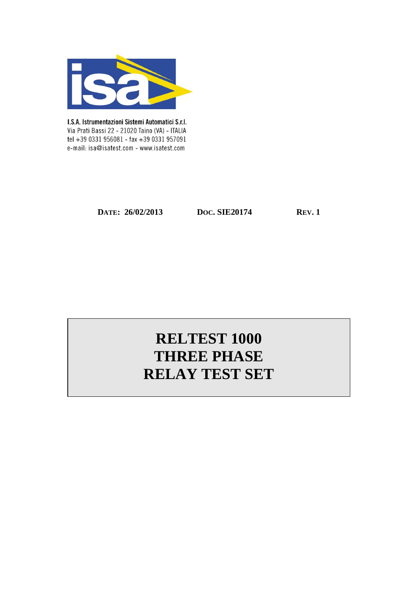

I.S.A. Istrumentazioni Sistemi Automatici S.r.I. Via Prati Bassi 22 - 21020 Taino (VA) - ITALIA tel +39 0331 956081 - fax +39 0331 957091 e-mail: isa@isatest.com - www.isatest.com

**DATE:** 26/02/2013 **DOC. SIE20174 REV. 1** 

# **RELTEST 1000 THREE PHASE RELAY TEST SET**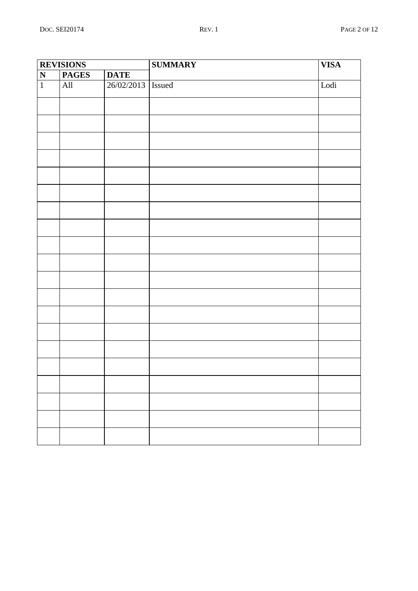| <b>REVISIONS</b>        |                |                     | <b>SUMMARY</b> | <b>VISA</b> |
|-------------------------|----------------|---------------------|----------------|-------------|
| $\overline{\mathbf{N}}$ | <b>PAGES</b>   | <b>DATE</b>         |                |             |
| $\mathbf 1$             | $\mathbf{All}$ | 26/02/2013   Issued |                | Lodi        |
|                         |                |                     |                |             |
|                         |                |                     |                |             |
|                         |                |                     |                |             |
|                         |                |                     |                |             |
|                         |                |                     |                |             |
|                         |                |                     |                |             |
|                         |                |                     |                |             |
|                         |                |                     |                |             |
|                         |                |                     |                |             |
|                         |                |                     |                |             |
|                         |                |                     |                |             |
|                         |                |                     |                |             |
|                         |                |                     |                |             |
|                         |                |                     |                |             |
|                         |                |                     |                |             |
|                         |                |                     |                |             |
|                         |                |                     |                |             |
|                         |                |                     |                |             |
|                         |                |                     |                |             |
|                         |                |                     |                |             |
|                         |                |                     |                |             |
|                         |                |                     |                |             |
|                         |                |                     |                |             |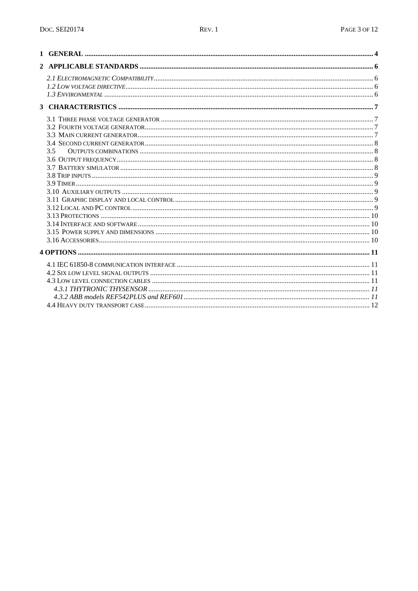| 3.5 |  |
|-----|--|
|     |  |
|     |  |
|     |  |
|     |  |
|     |  |
|     |  |
|     |  |
|     |  |
|     |  |
|     |  |
|     |  |
|     |  |
|     |  |
|     |  |
|     |  |
|     |  |
|     |  |
|     |  |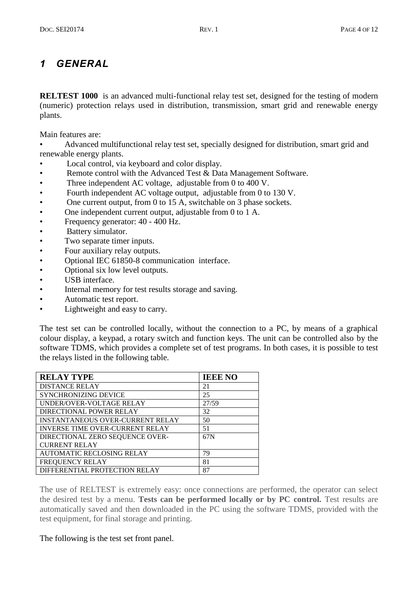## *1 GENERAL*

**RELTEST 1000** is an advanced multi-functional relay test set, designed for the testing of modern (numeric) protection relays used in distribution, transmission, smart grid and renewable energy plants.

Main features are:

• Advanced multifunctional relay test set, specially designed for distribution, smart grid and renewable energy plants.

- Local control, via keyboard and color display.
- Remote control with the Advanced Test & Data Management Software.
- Three independent AC voltage, adjustable from 0 to 400 V.
- Fourth independent AC voltage output, adjustable from 0 to 130 V.
- One current output, from 0 to 15 A, switchable on 3 phase sockets.
- One independent current output, adjustable from 0 to 1 A.
- Frequency generator: 40 400 Hz.
- Battery simulator.
- Two separate timer inputs.<br>• Four auxiliary relay outputs
- Four auxiliary relay outputs.
- Optional IEC 61850-8 communication interface.
- Optional six low level outputs.
- USB interface.
- Internal memory for test results storage and saving.
- Automatic test report.
- Lightweight and easy to carry.

The test set can be controlled locally, without the connection to a PC, by means of a graphical colour display, a keypad, a rotary switch and function keys. The unit can be controlled also by the software TDMS, which provides a complete set of test programs. In both cases, it is possible to test the relays listed in the following table.

| <b>RELAY TYPE</b>                       | <b>IEEE NO</b> |
|-----------------------------------------|----------------|
| <b>DISTANCE RELAY</b>                   | 21             |
| SYNCHRONIZING DEVICE                    | 25             |
| UNDER/OVER-VOLTAGE RELAY                | 27/59          |
| DIRECTIONAL POWER RELAY                 | 32             |
| <b>INSTANTANEOUS OVER-CURRENT RELAY</b> | 50             |
| <b>INVERSE TIME OVER-CURRENT RELAY</b>  | 51             |
| DIRECTIONAL ZERO SEQUENCE OVER-         | 67N            |
| <b>CURRENT RELAY</b>                    |                |
| <b>AUTOMATIC RECLOSING RELAY</b>        | 79             |
| FREQUENCY RELAY                         | 81             |
| DIFFERENTIAL PROTECTION RELAY           | 87             |

The use of RELTEST is extremely easy: once connections are performed, the operator can select the desired test by a menu. **Tests can be performed locally or by PC control.** Test results are automatically saved and then downloaded in the PC using the software TDMS, provided with the test equipment, for final storage and printing.

#### The following is the test set front panel.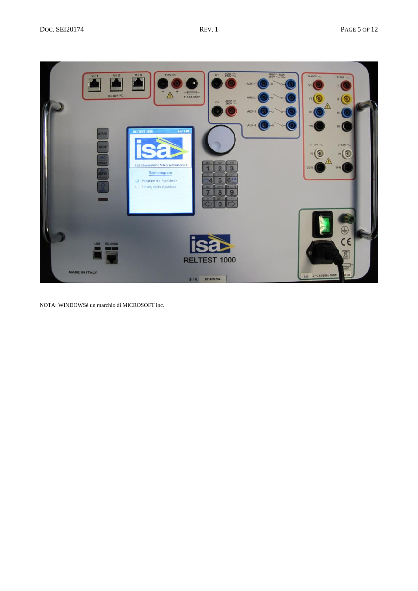

NOTA: WINDOWSè un marchio di MICROSOFT inc.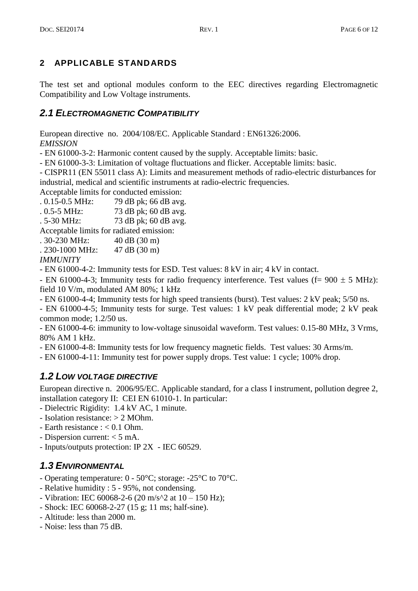## **2 APPLICABLE STANDARDS**

The test set and optional modules conform to the EEC directives regarding Electromagnetic Compatibility and Low Voltage instruments.

## *2.1 ELECTROMAGNETIC COMPATIBILITY*

European directive no. 2004/108/EC. Applicable Standard : EN61326:2006. *EMISSION*

- EN 61000-3-2: Harmonic content caused by the supply. Acceptable limits: basic.

- EN 61000-3-3: Limitation of voltage fluctuations and flicker. Acceptable limits: basic.

- CISPR11 (EN 55011 class A): Limits and measurement methods of radio-electric disturbances for industrial, medical and scientific instruments at radio-electric frequencies.

Acceptable limits for conducted emission:

. 0.15-0.5 MHz: 79 dB pk; 66 dB avg.

. 0.5-5 MHz: 73 dB pk; 60 dB avg.

. 5-30 MHz: 73 dB pk; 60 dB avg.

Acceptable limits for radiated emission:

. 30-230 MHz: 40 dB (30 m)

. 230-1000 MHz: 47 dB (30 m)

*IMMUNITY*

- EN 61000-4-2: Immunity tests for ESD. Test values: 8 kV in air; 4 kV in contact.

- EN 61000-4-3; Immunity tests for radio frequency interference. Test values (f=  $900 \pm 5$  MHz): field 10 V/m, modulated AM 80%; 1 kHz

- EN 61000-4-4; Immunity tests for high speed transients (burst). Test values: 2 kV peak; 5/50 ns.

- EN 61000-4-5; Immunity tests for surge. Test values: 1 kV peak differential mode; 2 kV peak common mode; 1.2/50 us.

- EN 61000-4-6: immunity to low-voltage sinusoidal waveform. Test values: 0.15-80 MHz, 3 Vrms, 80% AM 1 kHz.

- EN 61000-4-8: Immunity tests for low frequency magnetic fields. Test values: 30 Arms/m.

- EN 61000-4-11: Immunity test for power supply drops. Test value: 1 cycle; 100% drop.

## *1.2 LOW VOLTAGE DIRECTIVE*

European directive n. 2006/95/EC. Applicable standard, for a class I instrument, pollution degree 2, installation category II: CEI EN 61010-1. In particular:

- Dielectric Rigidity: 1.4 kV AC, 1 minute.
- Isolation resistance: > 2 MOhm.
- Earth resistance : < 0.1 Ohm.
- Dispersion current: < 5 mA.
- Inputs/outputs protection: IP 2X IEC 60529.

## *1.3 ENVIRONMENTAL*

- Operating temperature: 0 50°C; storage: -25°C to 70°C.
- Relative humidity : 5 95%, not condensing.
- Vibration: IEC 60068-2-6 (20 m/s^2 at  $10 150$  Hz);
- Shock: IEC 60068-2-27 (15 g; 11 ms; half-sine).
- Altitude: less than 2000 m.
- Noise: less than 75 dB.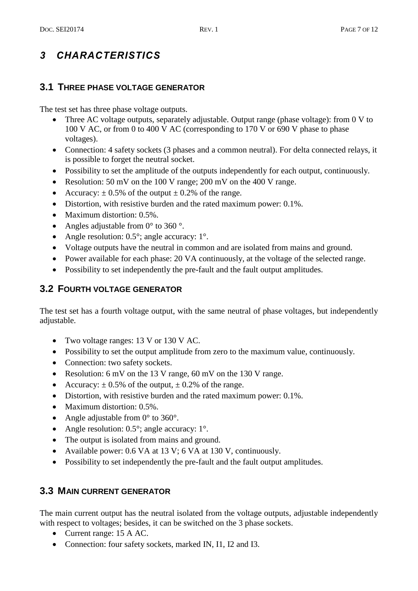## *3 CHARACTERISTICS*

## **3.1 THREE PHASE VOLTAGE GENERATOR**

The test set has three phase voltage outputs.

- Three AC voltage outputs, separately adjustable. Output range (phase voltage): from 0 V to 100 V AC, or from 0 to 400 V AC (corresponding to 170 V or 690 V phase to phase voltages).
- Connection: 4 safety sockets (3 phases and a common neutral). For delta connected relays, it is possible to forget the neutral socket.
- Possibility to set the amplitude of the outputs independently for each output, continuously.
- Resolution: 50 mV on the 100 V range; 200 mV on the 400 V range.
- Accuracy:  $\pm$  0.5% of the output  $\pm$  0.2% of the range.
- Distortion, with resistive burden and the rated maximum power: 0.1%.
- Maximum distortion: 0.5%.
- Angles adjustable from  $0^{\circ}$  to 360 °.
- Angle resolution: 0.5°; angle accuracy: 1°.
- Voltage outputs have the neutral in common and are isolated from mains and ground.
- Power available for each phase: 20 VA continuously, at the voltage of the selected range.
- Possibility to set independently the pre-fault and the fault output amplitudes.

## **3.2 FOURTH VOLTAGE GENERATOR**

The test set has a fourth voltage output, with the same neutral of phase voltages, but independently adjustable.

- Two voltage ranges: 13 V or 130 V AC.
- Possibility to set the output amplitude from zero to the maximum value, continuously.
- Connection: two safety sockets.
- Resolution: 6 mV on the 13 V range, 60 mV on the 130 V range.
- Accuracy:  $\pm$  0.5% of the output,  $\pm$  0.2% of the range.
- Distortion, with resistive burden and the rated maximum power: 0.1%.
- Maximum distortion: 0.5%.
- Angle adjustable from  $0^{\circ}$  to  $360^{\circ}$ .
- Angle resolution:  $0.5^{\circ}$ ; angle accuracy:  $1^{\circ}$ .
- The output is isolated from mains and ground.
- Available power: 0.6 VA at 13 V; 6 VA at 130 V, continuously.
- Possibility to set independently the pre-fault and the fault output amplitudes.

## **3.3 MAIN CURRENT GENERATOR**

The main current output has the neutral isolated from the voltage outputs, adjustable independently with respect to voltages; besides, it can be switched on the 3 phase sockets.

- Current range: 15 A AC.
- Connection: four safety sockets, marked IN, I1, I2 and I3.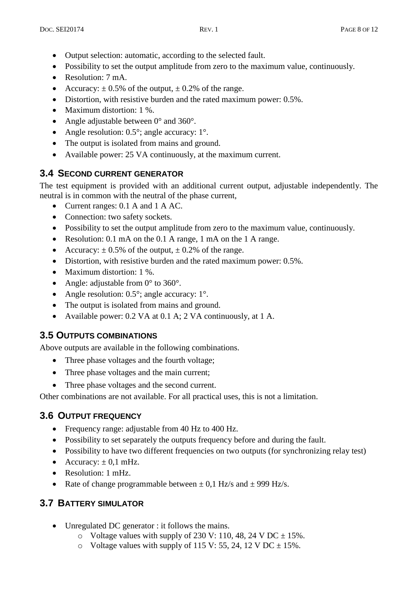- Output selection: automatic, according to the selected fault.
- Possibility to set the output amplitude from zero to the maximum value, continuously.
- Resolution: 7 mA.
- Accuracy:  $\pm$  0.5% of the output,  $\pm$  0.2% of the range.
- Distortion, with resistive burden and the rated maximum power: 0.5%.
- Maximum distortion: 1 %.
- Angle adjustable between  $0^{\circ}$  and  $360^{\circ}$ .
- Angle resolution: 0.5°; angle accuracy: 1°.
- The output is isolated from mains and ground.
- Available power: 25 VA continuously, at the maximum current.

## **3.4 SECOND CURRENT GENERATOR**

The test equipment is provided with an additional current output, adjustable independently. The neutral is in common with the neutral of the phase current,

- Current ranges: 0.1 A and 1 A AC.
- Connection: two safety sockets.
- Possibility to set the output amplitude from zero to the maximum value, continuously.
- Resolution: 0.1 mA on the 0.1 A range, 1 mA on the 1 A range.
- Accuracy:  $\pm 0.5\%$  of the output,  $\pm 0.2\%$  of the range.
- Distortion, with resistive burden and the rated maximum power: 0.5%.
- Maximum distortion: 1 %.
- Angle: adjustable from  $0^{\circ}$  to  $360^{\circ}$ .
- Angle resolution: 0.5°; angle accuracy: 1°.
- The output is isolated from mains and ground.
- Available power: 0.2 VA at 0.1 A; 2 VA continuously, at 1 A.

## **3.5 OUTPUTS COMBINATIONS**

Above outputs are available in the following combinations.

- Three phase voltages and the fourth voltage;
- Three phase voltages and the main current;
- Three phase voltages and the second current.

Other combinations are not available. For all practical uses, this is not a limitation.

## **3.6 OUTPUT FREQUENCY**

- Frequency range: adjustable from 40 Hz to 400 Hz.
- Possibility to set separately the outputs frequency before and during the fault.
- Possibility to have two different frequencies on two outputs (for synchronizing relay test)
- Accuracy:  $\pm$  0,1 mHz.
- Resolution: 1 mHz.
- Rate of change programmable between  $\pm$  0,1 Hz/s and  $\pm$  999 Hz/s.

## **3.7 BATTERY SIMULATOR**

- Unregulated DC generator : it follows the mains.
	- $\circ$  Voltage values with supply of 230 V: 110, 48, 24 V DC  $\pm$  15%.
	- $\circ$  Voltage values with supply of 115 V: 55, 24, 12 V DC  $\pm$  15%.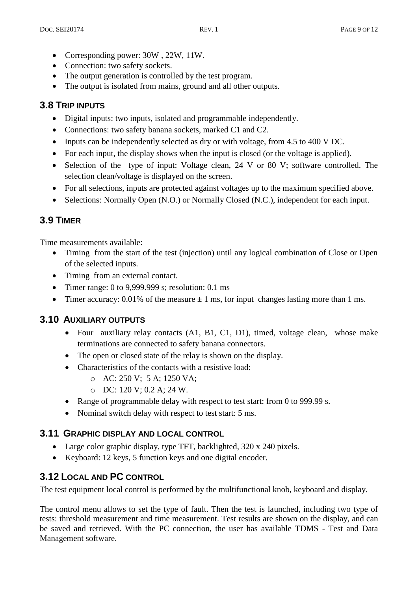- Corresponding power: 30W, 22W, 11W.
- Connection: two safety sockets.
- The output generation is controlled by the test program.
- The output is isolated from mains, ground and all other outputs.

## **3.8 TRIP INPUTS**

- Digital inputs: two inputs, isolated and programmable independently.
- Connections: two safety banana sockets, marked C1 and C2.
- Inputs can be independently selected as dry or with voltage, from 4.5 to 400 V DC.
- For each input, the display shows when the input is closed (or the voltage is applied).
- Selection of the type of input: Voltage clean, 24 V or 80 V; software controlled. The selection clean/voltage is displayed on the screen.
- For all selections, inputs are protected against voltages up to the maximum specified above.
- Selections: Normally Open (N.O.) or Normally Closed (N.C.), independent for each input.

## **3.9 TIMER**

Time measurements available:

- Timing from the start of the test (injection) until any logical combination of Close or Open of the selected inputs.
- Timing from an external contact.
- Timer range: 0 to 9,999.999 s; resolution: 0.1 ms
- Timer accuracy: 0.01% of the measure  $\pm$  1 ms, for input changes lasting more than 1 ms.

#### **3.10 AUXILIARY OUTPUTS**

- Four auxiliary relay contacts (A1, B1, C1, D1), timed, voltage clean, whose make terminations are connected to safety banana connectors.
- The open or closed state of the relay is shown on the display.
- Characteristics of the contacts with a resistive load:
	- o AC: 250 V; 5 A; 1250 VA;
	- o DC: 120 V; 0.2 A; 24 W.
- Range of programmable delay with respect to test start: from 0 to 999.99 s.
- Nominal switch delay with respect to test start: 5 ms.

#### **3.11 GRAPHIC DISPLAY AND LOCAL CONTROL**

- Large color graphic display, type TFT, backlighted, 320 x 240 pixels.
- Keyboard: 12 keys, 5 function keys and one digital encoder.

## **3.12 LOCAL AND PC CONTROL**

The test equipment local control is performed by the multifunctional knob, keyboard and display.

The control menu allows to set the type of fault. Then the test is launched, including two type of tests: threshold measurement and time measurement. Test results are shown on the display, and can be saved and retrieved. With the PC connection, the user has available TDMS - Test and Data Management software.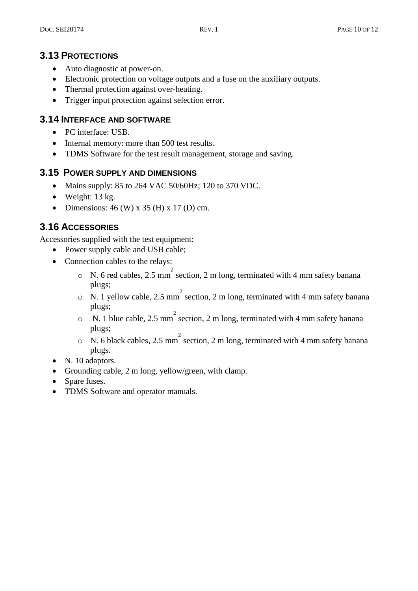## **3.13 PROTECTIONS**

- Auto diagnostic at power-on.
- Electronic protection on voltage outputs and a fuse on the auxiliary outputs.
- Thermal protection against over-heating.
- Trigger input protection against selection error.

#### **3.14 INTERFACE AND SOFTWARE**

- PC interface: USB.
- Internal memory: more than 500 test results.
- TDMS Software for the test result management, storage and saving.

#### **3.15 POWER SUPPLY AND DIMENSIONS**

- Mains supply: 85 to 264 VAC 50/60Hz; 120 to 370 VDC.
- $\bullet$  Weight: 13 kg.
- Dimensions:  $46$  (W) x  $35$  (H) x 17 (D) cm.

## **3.16 ACCESSORIES**

Accessories supplied with the test equipment:

- Power supply cable and USB cable;
- Connection cables to the relays:
	- $\circ$  N. 6 red cables, 2.5 mm<sup>2</sup> section, 2 m long, terminated with 4 mm safety banana plugs;
	- $\circ$  N. 1 yellow cable, 2.5 mm<sup>2</sup> section, 2 m long, terminated with 4 mm safety banana plugs;
	- $\circ$  N. 1 blue cable, 2.5 mm<sup>2</sup> section, 2 m long, terminated with 4 mm safety banana plugs;
	- $\circ$  N. 6 black cables, 2.5 mm<sup>2</sup> section, 2 m long, terminated with 4 mm safety banana plugs.
- N. 10 adaptors.
- Grounding cable, 2 m long, yellow/green, with clamp.
- Spare fuses.
- TDMS Software and operator manuals.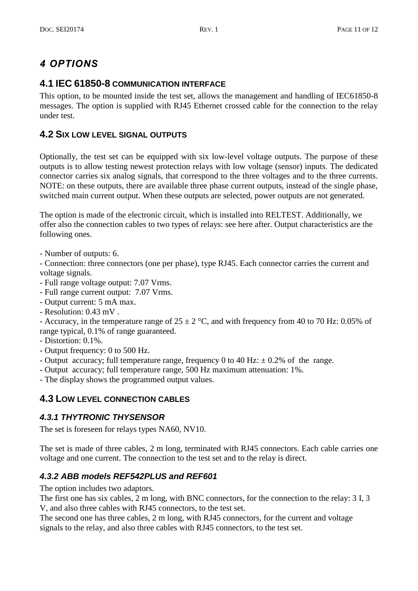## *4 OPTIONS*

## **4.1 IEC 61850-8 COMMUNICATION INTERFACE**

This option, to be mounted inside the test set, allows the management and handling of IEC61850-8 messages. The option is supplied with RJ45 Ethernet crossed cable for the connection to the relay under test.

## **4.2 SIX LOW LEVEL SIGNAL OUTPUTS**

Optionally, the test set can be equipped with six low-level voltage outputs. The purpose of these outputs is to allow testing newest protection relays with low voltage (sensor) inputs. The dedicated connector carries six analog signals, that correspond to the three voltages and to the three currents. NOTE: on these outputs, there are available three phase current outputs, instead of the single phase, switched main current output. When these outputs are selected, power outputs are not generated.

The option is made of the electronic circuit, which is installed into RELTEST. Additionally, we offer also the connection cables to two types of relays: see here after. Output characteristics are the following ones.

- Number of outputs: 6.

- Connection: three connectors (one per phase), type RJ45. Each connector carries the current and voltage signals.

- Full range voltage output: 7.07 Vrms.

- Full range current output: 7.07 Vrms.

- Output current: 5 mA max.

- Resolution: 0.43 mV .

- Accuracy, in the temperature range of  $25 \pm 2$  °C, and with frequency from 40 to 70 Hz: 0.05% of range typical, 0.1% of range guaranteed.

- Distortion: 0.1%.

- Output frequency: 0 to 500 Hz.

- Output accuracy; full temperature range, frequency 0 to 40 Hz:  $\pm$  0.2% of the range.

- Output accuracy; full temperature range, 500 Hz maximum attenuation: 1%.

- The display shows the programmed output values.

## **4.3 LOW LEVEL CONNECTION CABLES**

## *4.3.1 THYTRONIC THYSENSOR*

The set is foreseen for relays types NA60, NV10.

The set is made of three cables, 2 m long, terminated with RJ45 connectors. Each cable carries one voltage and one current. The connection to the test set and to the relay is direct.

## *4.3.2 ABB models REF542PLUS and REF601*

The option includes two adaptors.

The first one has six cables, 2 m long, with BNC connectors, for the connection to the relay: 3 I, 3 V, and also three cables with RJ45 connectors, to the test set.

The second one has three cables, 2 m long, with RJ45 connectors, for the current and voltage signals to the relay, and also three cables with RJ45 connectors, to the test set.